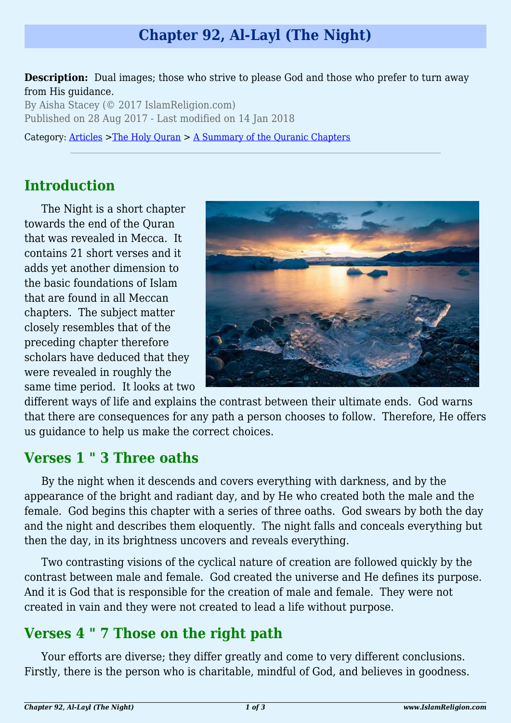# **Chapter 92, Al-Layl (The Night)**

**Description:** Dual images; those who strive to please God and those who prefer to turn away from His guidance.

By Aisha Stacey (© 2017 IslamReligion.com) Published on 28 Aug 2017 - Last modified on 14 Jan 2018

Category: [Articles](http://www.islamreligion.com/articles/) >[The Holy Quran](http://www.islamreligion.com/category/75/) > [A Summary of the Quranic Chapters](http://www.islamreligion.com/category/77/)

## **Introduction**

The Night is a short chapter towards the end of the Quran that was revealed in Mecca. It contains 21 short verses and it adds yet another dimension to the basic foundations of Islam that are found in all Meccan chapters. The subject matter closely resembles that of the preceding chapter therefore scholars have deduced that they were revealed in roughly the same time period. It looks at two



different ways of life and explains the contrast between their ultimate ends. God warns that there are consequences for any path a person chooses to follow. Therefore, He offers us guidance to help us make the correct choices.

### **Verses 1 " 3 Three oaths**

By the night when it descends and covers everything with darkness, and by the appearance of the bright and radiant day, and by He who created both the male and the female. God begins this chapter with a series of three oaths. God swears by both the day and the night and describes them eloquently. The night falls and conceals everything but then the day, in its brightness uncovers and reveals everything.

Two contrasting visions of the cyclical nature of creation are followed quickly by the contrast between male and female. God created the universe and He defines its purpose. And it is God that is responsible for the creation of male and female. They were not created in vain and they were not created to lead a life without purpose.

## **Verses 4 " 7 Those on the right path**

Your efforts are diverse; they differ greatly and come to very different conclusions. Firstly, there is the person who is charitable, mindful of God, and believes in goodness.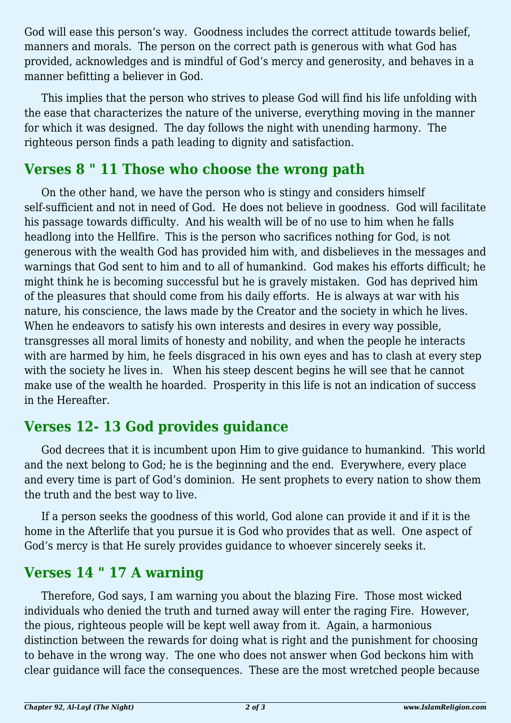God will ease this person's way. Goodness includes the correct attitude towards belief, manners and morals. The person on the correct path is generous with what God has provided, acknowledges and is mindful of God's mercy and generosity, and behaves in a manner befitting a believer in God.

This implies that the person who strives to please God will find his life unfolding with the ease that characterizes the nature of the universe, everything moving in the manner for which it was designed. The day follows the night with unending harmony. The righteous person finds a path leading to dignity and satisfaction.

### **Verses 8 " 11 Those who choose the wrong path**

On the other hand, we have the person who is stingy and considers himself self-sufficient and not in need of God. He does not believe in goodness. God will facilitate his passage towards difficulty. And his wealth will be of no use to him when he falls headlong into the Hellfire. This is the person who sacrifices nothing for God, is not generous with the wealth God has provided him with, and disbelieves in the messages and warnings that God sent to him and to all of humankind. God makes his efforts difficult; he might think he is becoming successful but he is gravely mistaken. God has deprived him of the pleasures that should come from his daily efforts. He is always at war with his nature, his conscience, the laws made by the Creator and the society in which he lives. When he endeavors to satisfy his own interests and desires in every way possible, transgresses all moral limits of honesty and nobility, and when the people he interacts with are harmed by him, he feels disgraced in his own eyes and has to clash at every step with the society he lives in. When his steep descent begins he will see that he cannot make use of the wealth he hoarded. Prosperity in this life is not an indication of success in the Hereafter.

## **Verses 12- 13 God provides guidance**

God decrees that it is incumbent upon Him to give guidance to humankind. This world and the next belong to God; he is the beginning and the end. Everywhere, every place and every time is part of God's dominion. He sent prophets to every nation to show them the truth and the best way to live.

If a person seeks the goodness of this world, God alone can provide it and if it is the home in the Afterlife that you pursue it is God who provides that as well. One aspect of God's mercy is that He surely provides guidance to whoever sincerely seeks it.

# **Verses 14 " 17 A warning**

Therefore, God says, I am warning you about the blazing Fire. Those most wicked individuals who denied the truth and turned away will enter the raging Fire. However, the pious, righteous people will be kept well away from it. Again, a harmonious distinction between the rewards for doing what is right and the punishment for choosing to behave in the wrong way. The one who does not answer when God beckons him with clear guidance will face the consequences. These are the most wretched people because